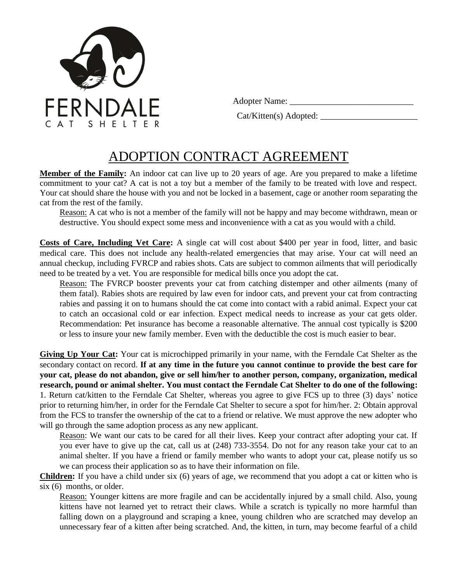

Adopter Name: \_\_\_\_\_\_\_\_\_\_\_\_\_\_\_\_\_\_\_\_\_\_\_\_\_\_\_\_

Cat/Kitten(s) Adopted: \_\_\_\_\_\_\_\_\_\_\_\_\_\_\_\_\_\_\_\_\_\_

## ADOPTION CONTRACT AGREEMENT

**Member of the Family:** An indoor cat can live up to 20 years of age. Are you prepared to make a lifetime commitment to your cat? A cat is not a toy but a member of the family to be treated with love and respect. Your cat should share the house with you and not be locked in a basement, cage or another room separating the cat from the rest of the family.

Reason: A cat who is not a member of the family will not be happy and may become withdrawn, mean or destructive. You should expect some mess and inconvenience with a cat as you would with a child.

**Costs of Care, Including Vet Care:** A single cat will cost about \$400 per year in food, litter, and basic medical care. This does not include any health-related emergencies that may arise. Your cat will need an annual checkup, including FVRCP and rabies shots. Cats are subject to common ailments that will periodically need to be treated by a vet. You are responsible for medical bills once you adopt the cat.

Reason: The FVRCP booster prevents your cat from catching distemper and other ailments (many of them fatal). Rabies shots are required by law even for indoor cats, and prevent your cat from contracting rabies and passing it on to humans should the cat come into contact with a rabid animal. Expect your cat to catch an occasional cold or ear infection. Expect medical needs to increase as your cat gets older. Recommendation: Pet insurance has become a reasonable alternative. The annual cost typically is \$200 or less to insure your new family member. Even with the deductible the cost is much easier to bear.

**Giving Up Your Cat:** Your cat is microchipped primarily in your name, with the Ferndale Cat Shelter as the secondary contact on record. **If at any time in the future you cannot continue to provide the best care for your cat, please do not abandon, give or sell him/her to another person, company, organization, medical research, pound or animal shelter. You must contact the Ferndale Cat Shelter to do one of the following:** 1. Return cat/kitten to the Ferndale Cat Shelter, whereas you agree to give FCS up to three (3) days' notice prior to returning him/her, in order for the Ferndale Cat Shelter to secure a spot for him/her. 2: Obtain approval from the FCS to transfer the ownership of the cat to a friend or relative. We must approve the new adopter who will go through the same adoption process as any new applicant.

Reason: We want our cats to be cared for all their lives. Keep your contract after adopting your cat. If you ever have to give up the cat, call us at (248) 733-3554. Do not for any reason take your cat to an animal shelter. If you have a friend or family member who wants to adopt your cat, please notify us so we can process their application so as to have their information on file.

**Children:** If you have a child under six (6) years of age, we recommend that you adopt a cat or kitten who is six (6) months, or older.

Reason: Younger kittens are more fragile and can be accidentally injured by a small child. Also, young kittens have not learned yet to retract their claws. While a scratch is typically no more harmful than falling down on a playground and scraping a knee, young children who are scratched may develop an unnecessary fear of a kitten after being scratched. And, the kitten, in turn, may become fearful of a child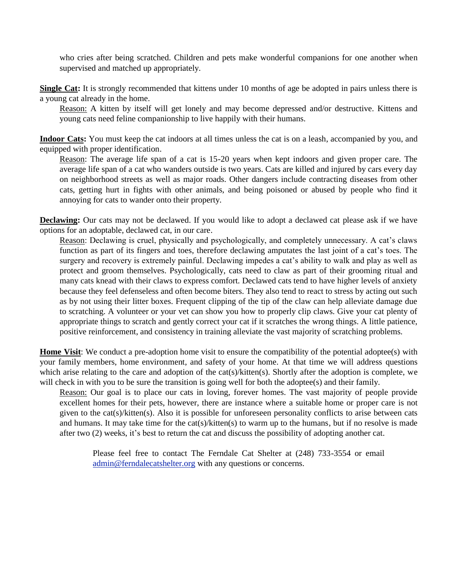who cries after being scratched. Children and pets make wonderful companions for one another when supervised and matched up appropriately.

**Single Cat:** It is strongly recommended that kittens under 10 months of age be adopted in pairs unless there is a young cat already in the home.

Reason: A kitten by itself will get lonely and may become depressed and/or destructive. Kittens and young cats need feline companionship to live happily with their humans.

**Indoor Cats:** You must keep the cat indoors at all times unless the cat is on a leash, accompanied by you, and equipped with proper identification.

Reason: The average life span of a cat is 15-20 years when kept indoors and given proper care. The average life span of a cat who wanders outside is two years. Cats are killed and injured by cars every day on neighborhood streets as well as major roads. Other dangers include contracting diseases from other cats, getting hurt in fights with other animals, and being poisoned or abused by people who find it annoying for cats to wander onto their property.

**Declawing:** Our cats may not be declawed. If you would like to adopt a declawed cat please ask if we have options for an adoptable, declawed cat, in our care.

Reason: Declawing is cruel, physically and psychologically, and completely unnecessary. A cat's claws function as part of its fingers and toes, therefore declawing amputates the last joint of a cat's toes. The surgery and recovery is extremely painful. Declawing impedes a cat's ability to walk and play as well as protect and groom themselves. Psychologically, cats need to claw as part of their grooming ritual and many cats knead with their claws to express comfort. Declawed cats tend to have higher levels of anxiety because they feel defenseless and often become biters. They also tend to react to stress by acting out such as by not using their litter boxes. Frequent clipping of the tip of the claw can help alleviate damage due to scratching. A volunteer or your vet can show you how to properly clip claws. Give your cat plenty of appropriate things to scratch and gently correct your cat if it scratches the wrong things. A little patience, positive reinforcement, and consistency in training alleviate the vast majority of scratching problems.

**Home Visit:** We conduct a pre-adoption home visit to ensure the compatibility of the potential adoptee(s) with your family members, home environment, and safety of your home. At that time we will address questions which arise relating to the care and adoption of the cat(s)/kitten(s). Shortly after the adoption is complete, we will check in with you to be sure the transition is going well for both the adoptee(s) and their family.

Reason: Our goal is to place our cats in loving, forever homes. The vast majority of people provide excellent homes for their pets, however, there are instance where a suitable home or proper care is not given to the cat(s)/kitten(s). Also it is possible for unforeseen personality conflicts to arise between cats and humans. It may take time for the cat(s)/kitten(s) to warm up to the humans, but if no resolve is made after two (2) weeks, it's best to return the cat and discuss the possibility of adopting another cat.

Please feel free to contact The Ferndale Cat Shelter at (248) 733-3554 or email admin@ferndalecatshelter.org with any questions or concerns.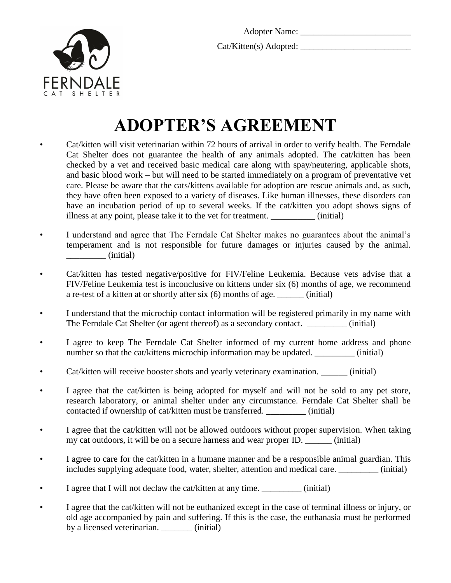

Cat/Kitten(s) Adopted: \_\_\_\_\_\_\_\_\_\_\_\_\_\_\_\_\_\_\_\_\_\_\_\_\_



## **ADOPTER'S AGREEMENT**

- Cat/kitten will visit veterinarian within 72 hours of arrival in order to verify health. The Ferndale Cat Shelter does not guarantee the health of any animals adopted. The cat/kitten has been checked by a vet and received basic medical care along with spay/neutering, applicable shots, and basic blood work – but will need to be started immediately on a program of preventative vet care. Please be aware that the cats/kittens available for adoption are rescue animals and, as such, they have often been exposed to a variety of diseases. Like human illnesses, these disorders can have an incubation period of up to several weeks. If the cat/kitten you adopt shows signs of illness at any point, please take it to the vet for treatment.  $(i\nu)$  (initial)
- I understand and agree that The Ferndale Cat Shelter makes no guarantees about the animal's temperament and is not responsible for future damages or injuries caused by the animal. \_\_\_\_\_\_\_\_\_ (initial)
- Cat/kitten has tested negative/positive for FIV/Feline Leukemia. Because vets advise that a FIV/Feline Leukemia test is inconclusive on kittens under six (6) months of age, we recommend a re-test of a kitten at or shortly after six (6) months of age. \_\_\_\_\_\_ (initial)
- I understand that the microchip contact information will be registered primarily in my name with The Ferndale Cat Shelter (or agent thereof) as a secondary contact. \_\_\_\_\_\_\_\_\_ (initial)
- I agree to keep The Ferndale Cat Shelter informed of my current home address and phone number so that the cat/kittens microchip information may be updated.  $(inital)$
- Cat/kitten will receive booster shots and yearly veterinary examination. \_\_\_\_\_\_ (initial)
- I agree that the cat/kitten is being adopted for myself and will not be sold to any pet store, research laboratory, or animal shelter under any circumstance. Ferndale Cat Shelter shall be contacted if ownership of cat/kitten must be transferred. \_\_\_\_\_\_\_\_\_ (initial)
- I agree that the cat/kitten will not be allowed outdoors without proper supervision. When taking my cat outdoors, it will be on a secure harness and wear proper ID. \_\_\_\_\_\_ (initial)
- I agree to care for the cat/kitten in a humane manner and be a responsible animal guardian. This includes supplying adequate food, water, shelter, attention and medical care. \_\_\_\_\_\_\_\_\_ (initial)
- I agree that I will not declaw the cat/kitten at any time. \_\_\_\_\_\_\_\_\_\_ (initial)
- I agree that the cat/kitten will not be euthanized except in the case of terminal illness or injury, or old age accompanied by pain and suffering. If this is the case, the euthanasia must be performed by a licensed veterinarian. (initial)